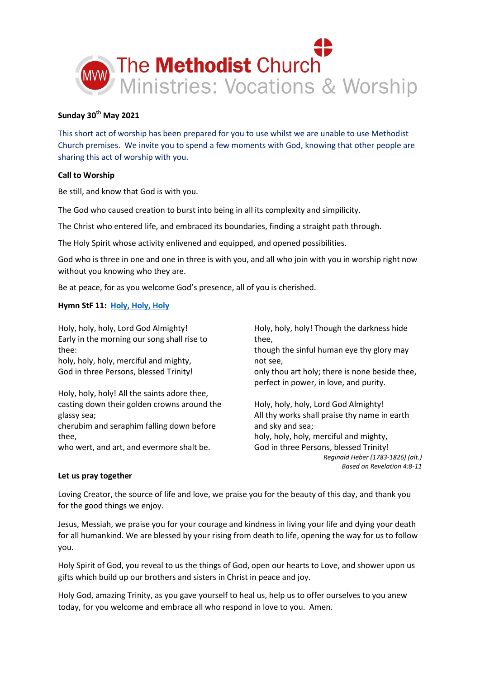

# **Sunday 30 th May 2021**

This short act of worship has been prepared for you to use whilst we are unable to use Methodist Church premises. We invite you to spend a few moments with God, knowing that other people are sharing this act of worship with you.

# **Call to Worship**

Be still, and know that God is with you.

The God who caused creation to burst into being in all its complexity and simpilicity.

The Christ who entered life, and embraced its boundaries, finding a straight path through.

The Holy Spirit whose activity enlivened and equipped, and opened possibilities.

God who is three in one and one in three is with you, and all who join with you in worship right now without you knowing who they are.

Be at peace, for as you welcome God's presence, all of you is cherished.

# **Hymn StF 11: [Holy, Holy, Holy](https://youtu.be/JwuDSw-9cUQ)**

Holy, holy, holy, Lord God Almighty! Early in the morning our song shall rise to thee: holy, holy, holy, merciful and mighty, God in three Persons, blessed Trinity! Holy, holy, holy! All the saints adore thee, casting down their golden crowns around the glassy sea; cherubim and seraphim falling down before thee, who wert, and art, and evermore shalt be. Holy, holy, holy! Though the darkness hide thee, though the sinful human eye thy glory may not see, only thou art holy; there is none beside thee, perfect in power, in love, and purity. Holy, holy, holy, Lord God Almighty! All thy works shall praise thy name in earth and sky and sea; holy, holy, holy, merciful and mighty, God in three Persons, blessed Trinity! *Reginald Heber (1783-1826) (alt.) Based on Revelation 4:8-11* **Let us pray together**

Loving Creator, the source of life and love, we praise you for the beauty of this day, and thank you for the good things we enjoy.

Jesus, Messiah, we praise you for your courage and kindness in living your life and dying your death for all humankind. We are blessed by your rising from death to life, opening the way for us to follow you.

Holy Spirit of God, you reveal to us the things of God, open our hearts to Love, and shower upon us gifts which build up our brothers and sisters in Christ in peace and joy.

Holy God, amazing Trinity, as you gave yourself to heal us, help us to offer ourselves to you anew today, for you welcome and embrace all who respond in love to you. Amen.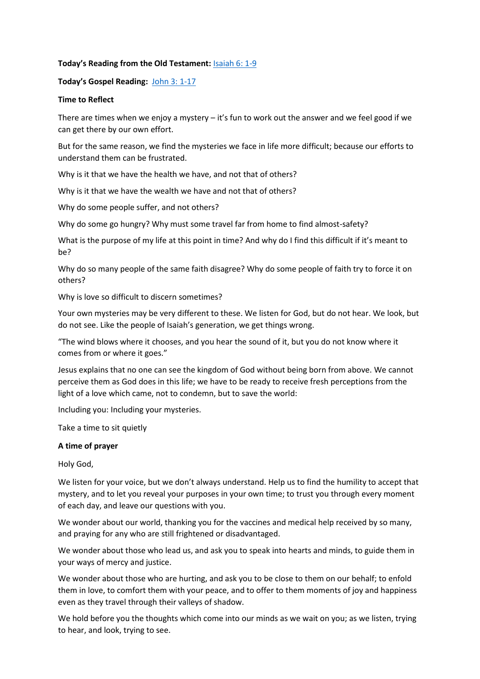## **Today's Reading from the Old Testament:** [Isaiah 6: 1-9](https://www.biblegateway.com/passage/?search=Isaiah+6%3A+1-9&version=NIV)

## **Today's Gospel Reading:** [John 3: 1-17](https://www.biblegateway.com/passage/?search=John+3%3A+1-17+&version=NIV)

## **Time to Reflect**

There are times when we enjoy a mystery – it's fun to work out the answer and we feel good if we can get there by our own effort.

But for the same reason, we find the mysteries we face in life more difficult; because our efforts to understand them can be frustrated.

Why is it that we have the health we have, and not that of others?

Why is it that we have the wealth we have and not that of others?

Why do some people suffer, and not others?

Why do some go hungry? Why must some travel far from home to find almost-safety?

What is the purpose of my life at this point in time? And why do I find this difficult if it's meant to be?

Why do so many people of the same faith disagree? Why do some people of faith try to force it on others?

Why is love so difficult to discern sometimes?

Your own mysteries may be very different to these. We listen for God, but do not hear. We look, but do not see. Like the people of Isaiah's generation, we get things wrong.

"The wind blows where it chooses, and you hear the sound of it, but you do not know where it comes from or where it goes."

Jesus explains that no one can see the kingdom of God without being born from above. We cannot perceive them as God does in this life; we have to be ready to receive fresh perceptions from the light of a love which came, not to condemn, but to save the world:

Including you: Including your mysteries.

Take a time to sit quietly

### **A time of prayer**

Holy God,

We listen for your yoice, but we don't always understand. Help us to find the humility to accept that mystery, and to let you reveal your purposes in your own time; to trust you through every moment of each day, and leave our questions with you.

We wonder about our world, thanking you for the vaccines and medical help received by so many, and praying for any who are still frightened or disadvantaged.

We wonder about those who lead us, and ask you to speak into hearts and minds, to guide them in your ways of mercy and justice.

We wonder about those who are hurting, and ask you to be close to them on our behalf; to enfold them in love, to comfort them with your peace, and to offer to them moments of joy and happiness even as they travel through their valleys of shadow.

We hold before you the thoughts which come into our minds as we wait on you; as we listen, trying to hear, and look, trying to see.